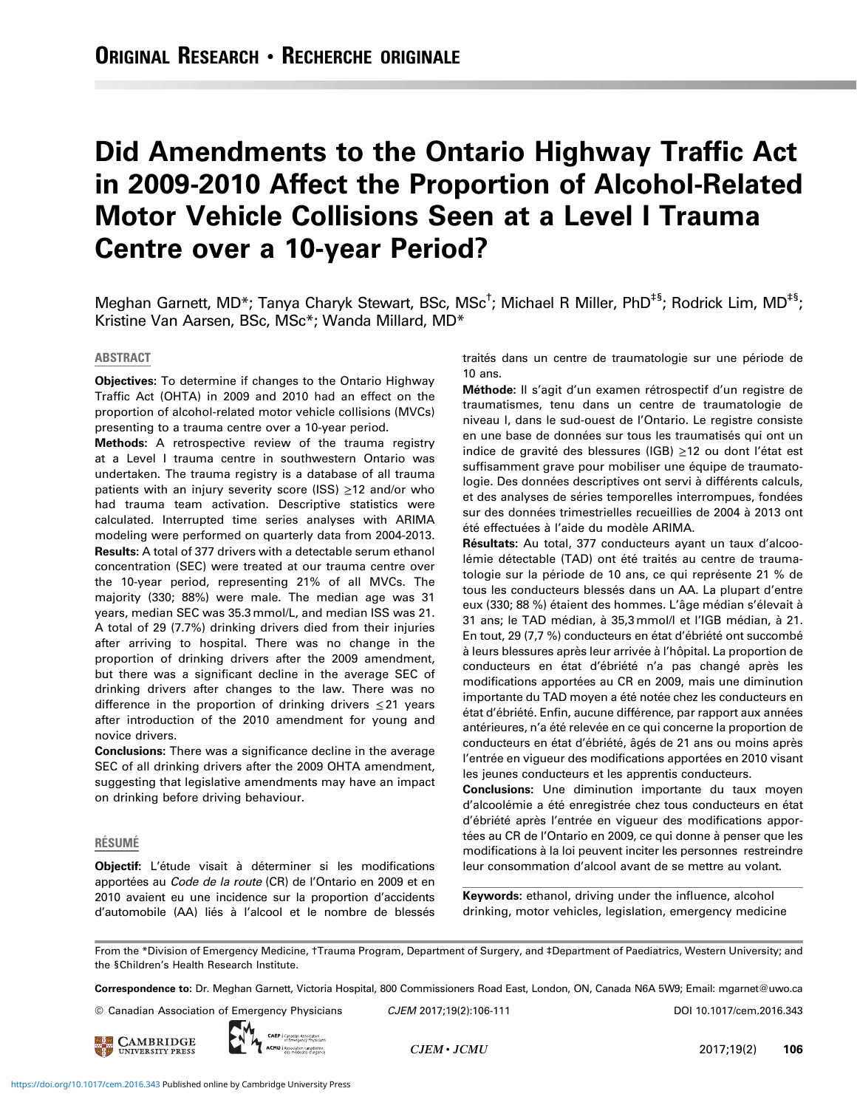# Did Amendments to the Ontario Highway Traffic Act in 2009-2010 Affect the Proportion of Alcohol-Related Motor Vehicle Collisions Seen at a Level I Trauma Centre over a 10-year Period?

Meghan Garnett, MD\*; Tanya Charyk Stewart, BSc, MSc<sup>†</sup>; Michael R Miller, PhD<sup>‡§</sup>; Rodrick Lim, MD<sup>‡§</sup>; Kristine Van Aarsen, BSc, MSc\*; Wanda Millard, MD\*

#### ABSTRACT

Objectives: To determine if changes to the Ontario Highway Traffic Act (OHTA) in 2009 and 2010 had an effect on the proportion of alcohol-related motor vehicle collisions (MVCs) presenting to a trauma centre over a 10-year period.

Methods: A retrospective review of the trauma registry at a Level I trauma centre in southwestern Ontario was undertaken. The trauma registry is a database of all trauma patients with an injury severity score (ISS)  $\geq$ 12 and/or who had trauma team activation. Descriptive statistics were calculated. Interrupted time series analyses with ARIMA modeling were performed on quarterly data from 2004-2013. Results: A total of 377 drivers with a detectable serum ethanol concentration (SEC) were treated at our trauma centre over the 10-year period, representing 21% of all MVCs. The majority (330; 88%) were male. The median age was 31 years, median SEC was 35.3 mmol/L, and median ISS was 21. A total of 29 (7.7%) drinking drivers died from their injuries after arriving to hospital. There was no change in the proportion of drinking drivers after the 2009 amendment, but there was a significant decline in the average SEC of drinking drivers after changes to the law. There was no difference in the proportion of drinking drivers  $\leq 21$  years after introduction of the 2010 amendment for young and novice drivers.

Conclusions: There was a significance decline in the average SEC of all drinking drivers after the 2009 OHTA amendment, suggesting that legislative amendments may have an impact on drinking before driving behaviour.

## RÉSUMÉ

Objectif: L'étude visait à déterminer si les modifications apportées au Code de la route (CR) de l'Ontario en 2009 et en 2010 avaient eu une incidence sur la proportion d'accidents d'automobile (AA) liés à l'alcool et le nombre de blessés traités dans un centre de traumatologie sur une période de 10 ans.

Méthode: Il s'agit d'un examen rétrospectif d'un registre de traumatismes, tenu dans un centre de traumatologie de niveau I, dans le sud-ouest de l'Ontario. Le registre consiste en une base de données sur tous les traumatisés qui ont un indice de gravité des blessures (IGB) ≥12 ou dont l'état est suffisamment grave pour mobiliser une équipe de traumatologie. Des données descriptives ont servi à différents calculs, et des analyses de séries temporelles interrompues, fondées sur des données trimestrielles recueillies de 2004 à 2013 ont été effectuées à l'aide du modèle ARIMA.

Résultats: Au total, 377 conducteurs ayant un taux d'alcoolémie détectable (TAD) ont été traités au centre de traumatologie sur la période de 10 ans, ce qui représente 21 % de tous les conducteurs blessés dans un AA. La plupart d'entre eux (330; 88 %) étaient des hommes. L'âge médian s'élevait à 31 ans; le TAD médian, à 35,3 mmol/l et l'IGB médian, à 21. En tout, 29 (7,7 %) conducteurs en état d'ébriété ont succombé à leurs blessures après leur arrivée à l'hôpital. La proportion de conducteurs en état d'ébriété n'a pas changé après les modifications apportées au CR en 2009, mais une diminution importante du TAD moyen a été notée chez les conducteurs en état d'ébriété. Enfin, aucune différence, par rapport aux années antérieures, n'a été relevée en ce qui concerne la proportion de conducteurs en état d'ébriété, âgés de 21 ans ou moins après l'entrée en vigueur des modifications apportées en 2010 visant les jeunes conducteurs et les apprentis conducteurs.

Conclusions: Une diminution importante du taux moyen d'alcoolémie a été enregistrée chez tous conducteurs en état d'ébriété après l'entrée en vigueur des modifications apportées au CR de l'Ontario en 2009, ce qui donne à penser que les modifications à la loi peuvent inciter les personnes restreindre leur consommation d'alcool avant de se mettre au volant.

Keywords: ethanol, driving under the influence, alcohol drinking, motor vehicles, legislation, emergency medicine

From the \*Division of Emergency Medicine, †Trauma Program, Department of Surgery, and ‡Department of Paediatrics, Western University; and the §Children's Health Research Institute.

Correspondence to: Dr. Meghan Garnett, Victoria Hospital, 800 Commissioners Road East, London, ON, Canada N6A 5W9; Email: [mgarnet@uwo.ca](mailto:mgarnet@uwo.ca)

© Canadian Association of Emergency Physicians CJEM 2017;19(2):106-111 DOI 10.1017/cem.2016.343

**EXECUTE CAMBRIDGE** 

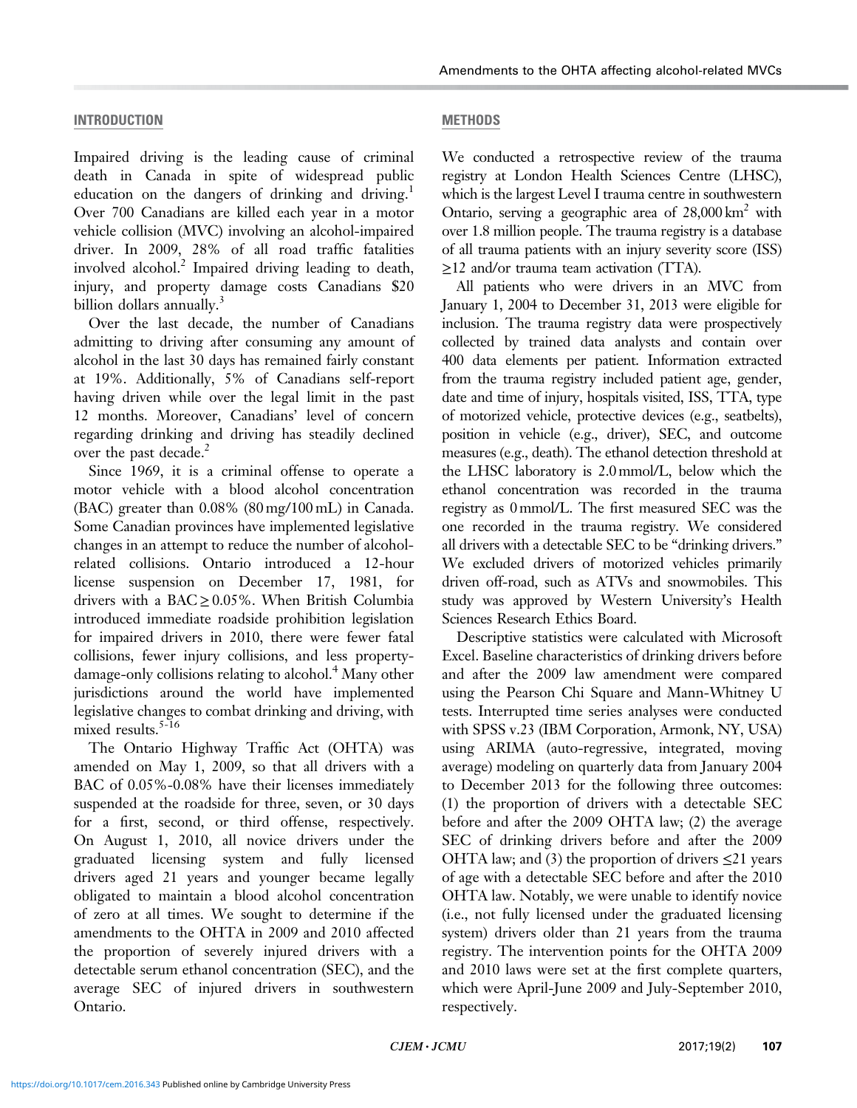# INTRODUCTION

Impaired driving is the leading cause of criminal death in Canada in spite of widespread public education on the dangers of drinking and driving.<sup>[1](#page-5-0)</sup> Over 700 Canadians are killed each year in a motor vehicle collision (MVC) involving an alcohol-impaired driver. In 2009, 28% of all road traffic fatalities involved alcohol.<sup>[2](#page-5-0)</sup> Impaired driving leading to death, injury, and property damage costs Canadians \$20 billion dollars annually.<sup>[3](#page-5-0)</sup>

Over the last decade, the number of Canadians admitting to driving after consuming any amount of alcohol in the last 30 days has remained fairly constant at 19%. Additionally, 5% of Canadians self-report having driven while over the legal limit in the past 12 months. Moreover, Canadians' level of concern regarding drinking and driving has steadily declined over the past decade. $2$ 

Since 1969, it is a criminal offense to operate a motor vehicle with a blood alcohol concentration (BAC) greater than 0.08% (80 mg/100 mL) in Canada. Some Canadian provinces have implemented legislative changes in an attempt to reduce the number of alcoholrelated collisions. Ontario introduced a 12-hour license suspension on December 17, 1981, for drivers with a BAC  $\geq$  0.05%. When British Columbia introduced immediate roadside prohibition legislation for impaired drivers in 2010, there were fewer fatal collisions, fewer injury collisions, and less property-damage-only collisions relating to alcohol.<sup>[4](#page-5-0)</sup> Many other jurisdictions around the world have implemented legislative changes to combat drinking and driving, with mixed results.<sup>5-16</sup>

The Ontario Highway Traffic Act (OHTA) was amended on May 1, 2009, so that all drivers with a BAC of 0.05%-0.08% have their licenses immediately suspended at the roadside for three, seven, or 30 days for a first, second, or third offense, respectively. On August 1, 2010, all novice drivers under the graduated licensing system and fully licensed drivers aged 21 years and younger became legally obligated to maintain a blood alcohol concentration of zero at all times. We sought to determine if the amendments to the OHTA in 2009 and 2010 affected the proportion of severely injured drivers with a detectable serum ethanol concentration (SEC), and the average SEC of injured drivers in southwestern Ontario.

# METHODS

We conducted a retrospective review of the trauma registry at London Health Sciences Centre (LHSC), which is the largest Level I trauma centre in southwestern Ontario, serving a geographic area of  $28,000 \text{ km}^2$  with over 1.8 million people. The trauma registry is a database of all trauma patients with an injury severity score (ISS)  $\geq$ 12 and/or trauma team activation (TTA).

All patients who were drivers in an MVC from January 1, 2004 to December 31, 2013 were eligible for inclusion. The trauma registry data were prospectively collected by trained data analysts and contain over 400 data elements per patient. Information extracted from the trauma registry included patient age, gender, date and time of injury, hospitals visited, ISS, TTA, type of motorized vehicle, protective devices (e.g., seatbelts), position in vehicle (e.g., driver), SEC, and outcome measures (e.g., death). The ethanol detection threshold at the LHSC laboratory is 2.0 mmol/L, below which the ethanol concentration was recorded in the trauma registry as 0 mmol/L. The first measured SEC was the one recorded in the trauma registry. We considered all drivers with a detectable SEC to be "drinking drivers." We excluded drivers of motorized vehicles primarily driven off-road, such as ATVs and snowmobiles. This study was approved by Western University's Health Sciences Research Ethics Board.

Descriptive statistics were calculated with Microsoft Excel. Baseline characteristics of drinking drivers before and after the 2009 law amendment were compared using the Pearson Chi Square and Mann-Whitney U tests. Interrupted time series analyses were conducted with SPSS v.23 (IBM Corporation, Armonk, NY, USA) using ARIMA (auto-regressive, integrated, moving average) modeling on quarterly data from January 2004 to December 2013 for the following three outcomes: (1) the proportion of drivers with a detectable SEC before and after the 2009 OHTA law; (2) the average SEC of drinking drivers before and after the 2009 OHTA law; and (3) the proportion of drivers  $\leq 21$  years of age with a detectable SEC before and after the 2010 OHTA law. Notably, we were unable to identify novice (i.e., not fully licensed under the graduated licensing system) drivers older than 21 years from the trauma registry. The intervention points for the OHTA 2009 and 2010 laws were set at the first complete quarters, which were April-June 2009 and July-September 2010, respectively.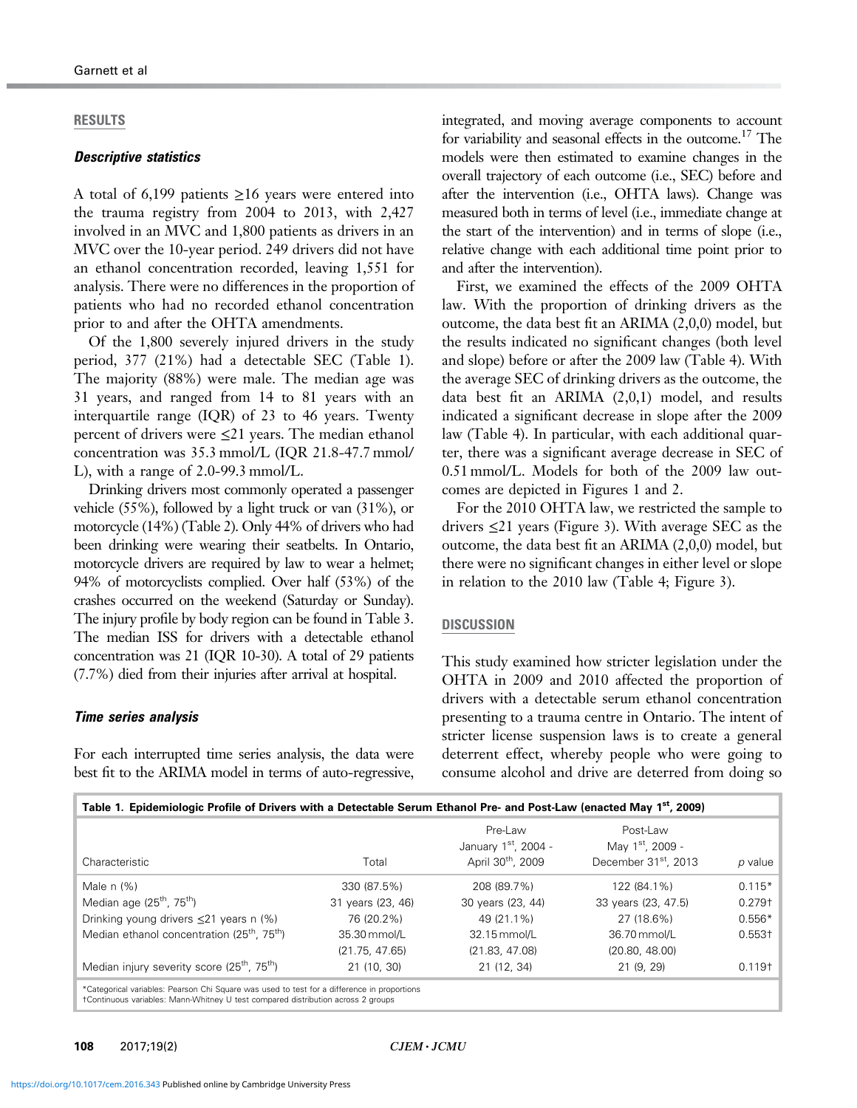## RESULTS

#### Descriptive statistics

A total of 6,199 patients  $\geq 16$  years were entered into the trauma registry from 2004 to 2013, with 2,427 involved in an MVC and 1,800 patients as drivers in an MVC over the 10-year period. 249 drivers did not have an ethanol concentration recorded, leaving 1,551 for analysis. There were no differences in the proportion of patients who had no recorded ethanol concentration prior to and after the OHTA amendments.

Of the 1,800 severely injured drivers in the study period, 377 (21%) had a detectable SEC (Table 1). The majority (88%) were male. The median age was 31 years, and ranged from 14 to 81 years with an interquartile range (IQR) of 23 to 46 years. Twenty percent of drivers were  $\leq 21$  years. The median ethanol concentration was 35.3 mmol/L (IQR 21.8-47.7 mmol/ L), with a range of 2.0-99.3 mmol/L.

Drinking drivers most commonly operated a passenger vehicle (55%), followed by a light truck or van (31%), or motorcycle (14%) [\(Table 2](#page-3-0)). Only 44% of drivers who had been drinking were wearing their seatbelts. In Ontario, motorcycle drivers are required by law to wear a helmet; 94% of motorcyclists complied. Over half (53%) of the crashes occurred on the weekend (Saturday or Sunday). The injury profile by body region can be found in [Table 3](#page-3-0). The median ISS for drivers with a detectable ethanol concentration was 21 (IQR 10-30). A total of 29 patients (7.7%) died from their injuries after arrival at hospital.

# Time series analysis

For each interrupted time series analysis, the data were best fit to the ARIMA model in terms of auto-regressive, integrated, and moving average components to account for variability and seasonal effects in the outcome.<sup>[17](#page-5-0)</sup> The models were then estimated to examine changes in the overall trajectory of each outcome (i.e., SEC) before and after the intervention (i.e., OHTA laws). Change was measured both in terms of level (i.e., immediate change at the start of the intervention) and in terms of slope (i.e., relative change with each additional time point prior to and after the intervention).

First, we examined the effects of the 2009 OHTA law. With the proportion of drinking drivers as the outcome, the data best fit an ARIMA (2,0,0) model, but the results indicated no significant changes (both level and slope) before or after the 2009 law ([Table 4\)](#page-3-0). With the average SEC of drinking drivers as the outcome, the data best fit an ARIMA (2,0,1) model, and results indicated a significant decrease in slope after the 2009 law [\(Table 4\)](#page-3-0). In particular, with each additional quarter, there was a significant average decrease in SEC of 0.51 mmol/L. Models for both of the 2009 law outcomes are depicted in [Figures 1](#page-4-0) and [2.](#page-4-0)

For the 2010 OHTA law, we restricted the sample to drivers  $≤$ 21 years [\(Figure 3\)](#page-4-0). With average SEC as the outcome, the data best fit an ARIMA (2,0,0) model, but there were no significant changes in either level or slope in relation to the 2010 law [\(Table 4;](#page-3-0) [Figure 3\)](#page-4-0).

## **DISCUSSION**

This study examined how stricter legislation under the OHTA in 2009 and 2010 affected the proportion of drivers with a detectable serum ethanol concentration presenting to a trauma centre in Ontario. The intent of stricter license suspension laws is to create a general deterrent effect, whereby people who were going to consume alcohol and drive are deterred from doing so

| Table 1. Epidemiologic Profile of Drivers with a Detectable Serum Ethanol Pre- and Post-Law (enacted May 1 <sup>st</sup> , 2009)                                                |                   |                                                                 |                                                                              |           |  |
|---------------------------------------------------------------------------------------------------------------------------------------------------------------------------------|-------------------|-----------------------------------------------------------------|------------------------------------------------------------------------------|-----------|--|
| Characteristic                                                                                                                                                                  | Total             | Pre-Law<br>January 1st, 2004 -<br>April 30 <sup>th</sup> , 2009 | Post-Law<br>May 1 <sup>st</sup> , 2009 -<br>December 31 <sup>st</sup> , 2013 | $p$ value |  |
| Male $n$ $(\%)$                                                                                                                                                                 | 330 (87.5%)       | 208 (89.7%)                                                     | 122 (84.1%)                                                                  | $0.115*$  |  |
| Median age (25 <sup>th</sup> , 75 <sup>th</sup> )                                                                                                                               | 31 years (23, 46) | 30 years (23, 44)                                               | 33 years (23, 47.5)                                                          | 0.2791    |  |
| Drinking young drivers $\leq$ 21 years n (%)                                                                                                                                    | 76 (20.2%)        | 49 (21.1%)                                                      | 27 (18.6%)                                                                   | $0.556*$  |  |
| Median ethanol concentration (25 <sup>th</sup> , 75 <sup>th</sup> )                                                                                                             | 35.30 mmol/L      | 32.15 mmol/L                                                    | 36.70 mmol/L                                                                 | 0.5531    |  |
|                                                                                                                                                                                 | (21.75, 47.65)    | (21.83, 47.08)                                                  | (20.80, 48.00)                                                               |           |  |
| Median injury severity score (25 <sup>th</sup> , 75 <sup>th</sup> )                                                                                                             | 21 (10, 30)       | 21 (12, 34)                                                     | 21(9, 29)                                                                    | 0.119†    |  |
| *Categorical variables: Pearson Chi Square was used to test for a difference in proportions<br>†Continuous variables: Mann-Whitney U test compared distribution across 2 groups |                   |                                                                 |                                                                              |           |  |

**108** 2017;19(2)  $CJEM \cdot JCMU$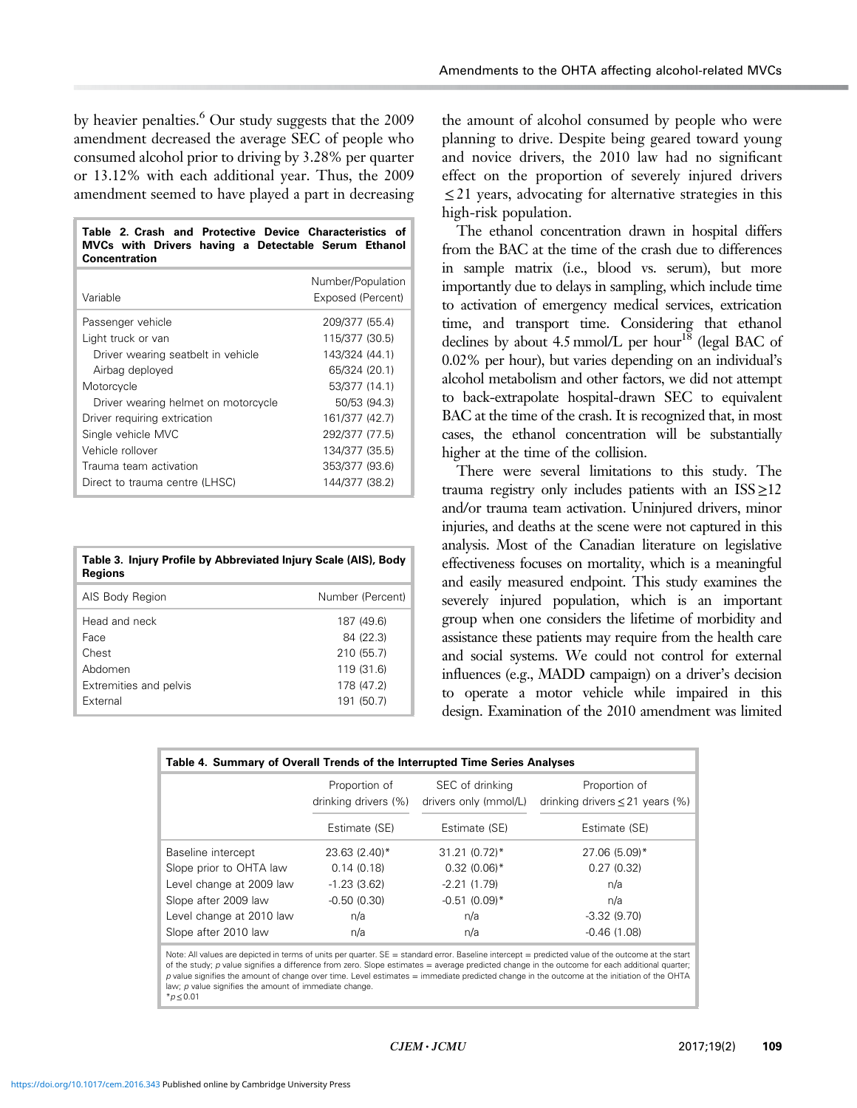<span id="page-3-0"></span>by heavier penalties.<sup>[6](#page-5-0)</sup> Our study suggests that the 2009 amendment decreased the average SEC of people who consumed alcohol prior to driving by 3.28% per quarter or 13.12% with each additional year. Thus, the 2009 amendment seemed to have played a part in decreasing

| MVCs with Drivers having a Detectable Serum Ethanol |  |  |  | Table 2. Crash and Protective Device Characteristics of |  |
|-----------------------------------------------------|--|--|--|---------------------------------------------------------|--|
| Concentration                                       |  |  |  |                                                         |  |

| Variable                            | Number/Population<br>Exposed (Percent) |
|-------------------------------------|----------------------------------------|
| Passenger vehicle                   | 209/377 (55.4)                         |
| Light truck or van                  | 115/377 (30.5)                         |
| Driver wearing seatbelt in vehicle  | 143/324 (44.1)                         |
| Airbag deployed                     | 65/324 (20.1)                          |
| Motorcycle                          | 53/377 (14.1)                          |
| Driver wearing helmet on motorcycle | 50/53 (94.3)                           |
| Driver requiring extrication        | 161/377 (42.7)                         |
| Single vehicle MVC                  | 292/377 (77.5)                         |
| Vehicle rollover                    | 134/377 (35.5)                         |
| Trauma team activation              | 353/377 (93.6)                         |
| Direct to trauma centre (LHSC)      | 144/377 (38.2)                         |

| Table 3. Injury Profile by Abbreviated Injury Scale (AIS), Body<br><b>Regions</b> |                  |  |  |  |
|-----------------------------------------------------------------------------------|------------------|--|--|--|
| AIS Body Region                                                                   | Number (Percent) |  |  |  |
| Head and neck                                                                     | 187 (49.6)       |  |  |  |
| Face                                                                              | 84 (22.3)        |  |  |  |
| Chest                                                                             | 210 (55.7)       |  |  |  |
| Abdomen                                                                           | 119 (31.6)       |  |  |  |
| Extremities and pelvis                                                            | 178 (47.2)       |  |  |  |
| External                                                                          | 191 (50.7)       |  |  |  |

the amount of alcohol consumed by people who were planning to drive. Despite being geared toward young and novice drivers, the 2010 law had no significant effect on the proportion of severely injured drivers  $\leq$  21 years, advocating for alternative strategies in this high-risk population.

The ethanol concentration drawn in hospital differs from the BAC at the time of the crash due to differences in sample matrix (i.e., blood vs. serum), but more importantly due to delays in sampling, which include time to activation of emergency medical services, extrication time, and transport time. Considering that ethanol declines by about  $4.5 \text{ mmol/L}$  per hour<sup>18</sup> (legal BAC of 0.02% per hour), but varies depending on an individual's alcohol metabolism and other factors, we did not attempt to back-extrapolate hospital-drawn SEC to equivalent BAC at the time of the crash. It is recognized that, in most cases, the ethanol concentration will be substantially higher at the time of the collision.

There were several limitations to this study. The trauma registry only includes patients with an ISS≥12 and/or trauma team activation. Uninjured drivers, minor injuries, and deaths at the scene were not captured in this analysis. Most of the Canadian literature on legislative effectiveness focuses on mortality, which is a meaningful and easily measured endpoint. This study examines the severely injured population, which is an important group when one considers the lifetime of morbidity and assistance these patients may require from the health care and social systems. We could not control for external influences (e.g., MADD campaign) on a driver's decision to operate a motor vehicle while impaired in this design. Examination of the 2010 amendment was limited

| Table 4. Summary of Overall Trends of the Interrupted Time Series Analyses |                 |                                          |                                                       |  |  |
|----------------------------------------------------------------------------|-----------------|------------------------------------------|-------------------------------------------------------|--|--|
| Proportion of<br>drinking drivers (%)                                      |                 | SEC of drinking<br>drivers only (mmol/L) | Proportion of<br>drinking drivers $\leq$ 21 years (%) |  |  |
|                                                                            | Estimate (SE)   | Estimate (SE)                            | Estimate (SE)                                         |  |  |
| Baseline intercept                                                         | $23.63(2.40)$ * | $31.21 (0.72)^*$                         | 27.06 (5.09)*                                         |  |  |
| Slope prior to OHTA law                                                    | 0.14(0.18)      | $0.32(0.06)$ *                           | 0.27(0.32)                                            |  |  |
| Level change at 2009 law                                                   | $-1.23(3.62)$   | $-2.21(1.79)$                            | n/a                                                   |  |  |
| Slope after 2009 law                                                       | $-0.50(0.30)$   | $-0.51(0.09)$ *                          | n/a                                                   |  |  |
| Level change at 2010 law                                                   | n/a             | n/a                                      | $-3.32(9.70)$                                         |  |  |
| Slope after 2010 law                                                       | n/a             | n/a                                      | $-0.46(1.08)$                                         |  |  |

Note: All values are depicted in terms of units per quarter. SE = standard error. Baseline intercept = predicted value of the outcome at the start of the study; p value signifies a difference from zero. Slope estimates = average predicted change in the outcome for each additional quarter; p value signifies the amount of change over time. Level estimates = immediate predicted change in the outcome at the initiation of the OHTA law;  $p$  value signifies the amount of immediate change. \*p≤0.01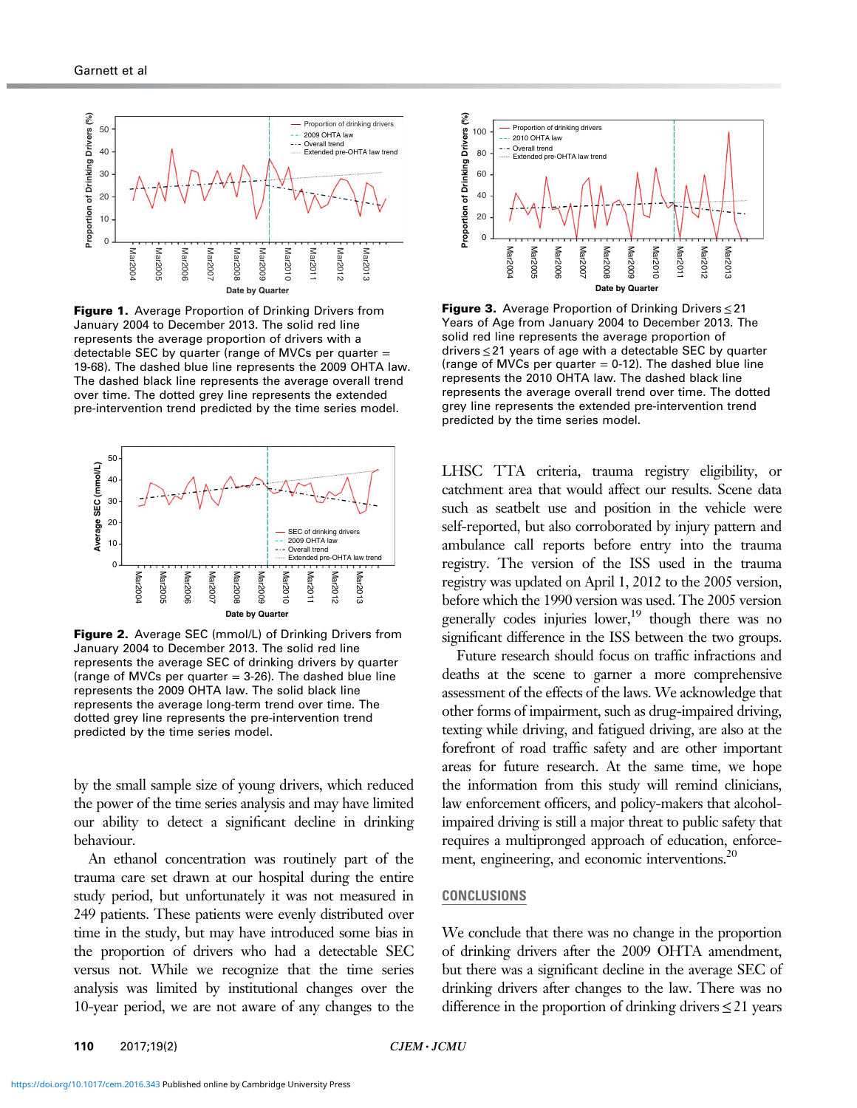<span id="page-4-0"></span>

Figure 1. Average Proportion of Drinking Drivers from January 2004 to December 2013. The solid red line represents the average proportion of drivers with a detectable SEC by quarter (range of MVCs per quarter  $=$ 19-68). The dashed blue line represents the 2009 OHTA law. The dashed black line represents the average overall trend over time. The dotted grey line represents the extended pre-intervention trend predicted by the time series model.



**Figure 2.** Average SEC (mmol/L) of Drinking Drivers from January 2004 to December 2013. The solid red line represents the average SEC of drinking drivers by quarter (range of MVCs per quarter  $= 3-26$ ). The dashed blue line represents the 2009 OHTA law. The solid black line represents the average long-term trend over time. The dotted grey line represents the pre-intervention trend predicted by the time series model.

by the small sample size of young drivers, which reduced the power of the time series analysis and may have limited our ability to detect a significant decline in drinking behaviour.

An ethanol concentration was routinely part of the trauma care set drawn at our hospital during the entire study period, but unfortunately it was not measured in 249 patients. These patients were evenly distributed over time in the study, but may have introduced some bias in the proportion of drivers who had a detectable SEC versus not. While we recognize that the time series analysis was limited by institutional changes over the 10-year period, we are not aware of any changes to the



Figure 3. Average Proportion of Drinking Drivers ≤ 21 Years of Age from January 2004 to December 2013. The solid red line represents the average proportion of drivers≤21 years of age with a detectable SEC by quarter (range of MVCs per quarter  $= 0$ -12). The dashed blue line represents the 2010 OHTA law. The dashed black line represents the average overall trend over time. The dotted grey line represents the extended pre-intervention trend predicted by the time series model.

LHSC TTA criteria, trauma registry eligibility, or catchment area that would affect our results. Scene data such as seatbelt use and position in the vehicle were self-reported, but also corroborated by injury pattern and ambulance call reports before entry into the trauma registry. The version of the ISS used in the trauma registry was updated on April 1, 2012 to the 2005 version, before which the 1990 version was used. The 2005 version generally codes injuries  $lower<sub>1</sub><sup>19</sup> though there was no$  $lower<sub>1</sub><sup>19</sup> though there was no$  $lower<sub>1</sub><sup>19</sup> though there was no$ significant difference in the ISS between the two groups.

Future research should focus on traffic infractions and deaths at the scene to garner a more comprehensive assessment of the effects of the laws. We acknowledge that other forms of impairment, such as drug-impaired driving, texting while driving, and fatigued driving, are also at the forefront of road traffic safety and are other important areas for future research. At the same time, we hope the information from this study will remind clinicians, law enforcement officers, and policy-makers that alcoholimpaired driving is still a major threat to public safety that requires a multipronged approach of education, enforcement, engineering, and economic interventions.<sup>20</sup>

#### CONCLUSIONS

We conclude that there was no change in the proportion of drinking drivers after the 2009 OHTA amendment, but there was a significant decline in the average SEC of drinking drivers after changes to the law. There was no difference in the proportion of drinking drivers  $\leq 21$  years